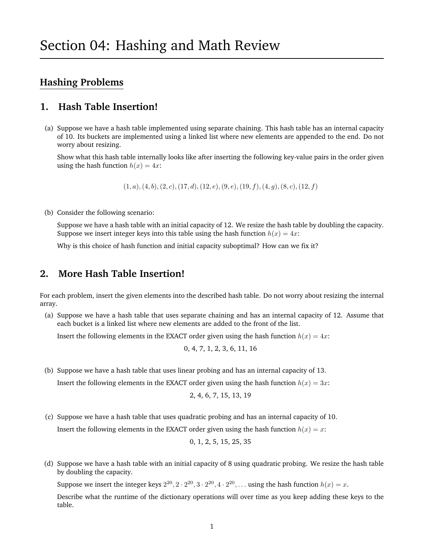# **Hashing Problems**

#### **1. Hash Table Insertion!**

(a) Suppose we have a hash table implemented using separate chaining. This hash table has an internal capacity of 10. Its buckets are implemented using a linked list where new elements are appended to the end. Do not worry about resizing.

Show what this hash table internally looks like after inserting the following key-value pairs in the order given using the hash function  $h(x) = 4x$ :

 $(1, a), (4, b), (2, c), (17, d), (12, e), (9, e), (19, f), (4, g), (8, c), (12, f)$ 

(b) Consider the following scenario:

Suppose we have a hash table with an initial capacity of 12. We resize the hash table by doubling the capacity. Suppose we insert integer keys into this table using the hash function  $h(x) = 4x$ :

Why is this choice of hash function and initial capacity suboptimal? How can we fix it?

#### **2. More Hash Table Insertion!**

For each problem, insert the given elements into the described hash table. Do not worry about resizing the internal array.

(a) Suppose we have a hash table that uses separate chaining and has an internal capacity of 12. Assume that each bucket is a linked list where new elements are added to the front of the list.

Insert the following elements in the EXACT order given using the hash function  $h(x) = 4x$ :

$$
0, 4, 7, 1, 2, 3, 6, 11, 16
$$

(b) Suppose we have a hash table that uses linear probing and has an internal capacity of 13.

Insert the following elements in the EXACT order given using the hash function  $h(x) = 3x$ :

$$
2, 4, 6, 7, 15, 13, 19
$$

(c) Suppose we have a hash table that uses quadratic probing and has an internal capacity of 10.

Insert the following elements in the EXACT order given using the hash function  $h(x) = x$ :

$$
0,\,1,\,2,\,5,\,15,\,25,\,35
$$

(d) Suppose we have a hash table with an initial capacity of 8 using quadratic probing. We resize the hash table by doubling the capacity.

Suppose we insert the integer keys  $2^{20}$ ,  $2 \cdot 2^{20}$ ,  $3 \cdot 2^{20}$ ,  $4 \cdot 2^{20}$ , ... using the hash function  $h(x) = x$ .

Describe what the runtime of the dictionary operations will over time as you keep adding these keys to the table.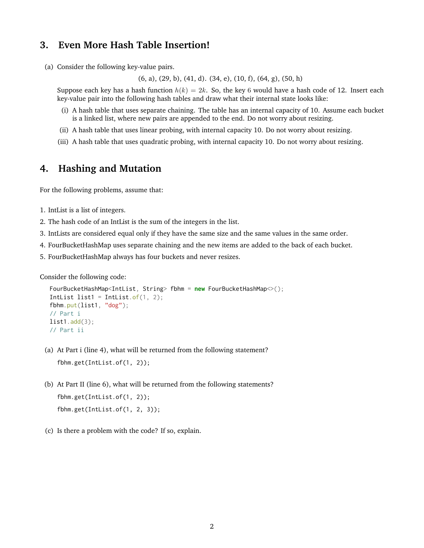#### **3. Even More Hash Table Insertion!**

(a) Consider the following key-value pairs.

(6, a), (29, b), (41, d). (34, e), (10, f), (64, g), (50, h)

Suppose each key has a hash function  $h(k) = 2k$ . So, the key 6 would have a hash code of 12. Insert each key-value pair into the following hash tables and draw what their internal state looks like:

- (i) A hash table that uses separate chaining. The table has an internal capacity of 10. Assume each bucket is a linked list, where new pairs are appended to the end. Do not worry about resizing.
- (ii) A hash table that uses linear probing, with internal capacity 10. Do not worry about resizing.
- (iii) A hash table that uses quadratic probing, with internal capacity 10. Do not worry about resizing.

## **4. Hashing and Mutation**

For the following problems, assume that:

- 1. IntList is a list of integers.
- 2. The hash code of an IntList is the sum of the integers in the list.
- 3. IntLists are considered equal only if they have the same size and the same values in the same order.
- 4. FourBucketHashMap uses separate chaining and the new items are added to the back of each bucket.
- 5. FourBucketHashMap always has four buckets and never resizes.

Consider the following code:

```
FourBucketHashMap<IntList, String> fbhm = new FourBucketHashMap<>();
Intlist list1 = Intlist.of(1, 2);
fbhm.put(list1, "dog");
// Part i
list1.add(3);// Part ii
```
(a) At Part i (line 4), what will be returned from the following statement?

fbhm.get(IntList.of(1, 2));

- (b) At Part II (line 6), what will be returned from the following statements? fbhm.get(IntList.of(1, 2)); fbhm.get(IntList.of(1, 2, 3));
- (c) Is there a problem with the code? If so, explain.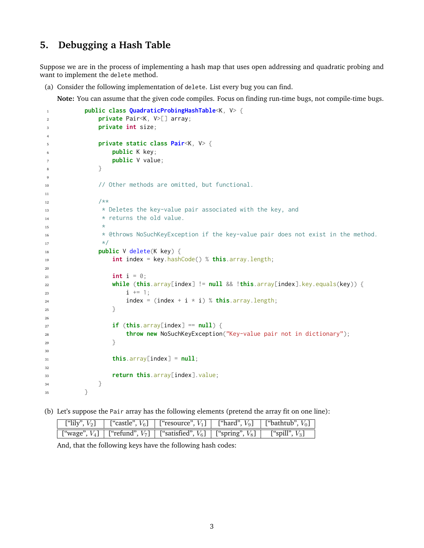### **5. Debugging a Hash Table**

Suppose we are in the process of implementing a hash map that uses open addressing and quadratic probing and want to implement the delete method.

(a) Consider the following implementation of delete. List every bug you can find.

**Note:** You can assume that the given code compiles. Focus on finding run-time bugs, not compile-time bugs.

```
1 public class QuadraticProbingHashTable<K, V> {
2 private Pair<K, V>[] array;
3 private int size;
4
5 private static class Pair<K, V> {
6 public K key;
7 public V value;
8 }
9
10 // Other methods are omitted, but functional.
11
12 /**
13 * Deletes the key-value pair associated with the key, and
14 * returns the old value.
15 *
16 * @throws NoSuchKeyException if the key-value pair does not exist in the method.
17 \star/18 public V delete(K key) {
19 int index = key.hashCode() % this.array.length;
20
21 int i = 0;
22 while (this.array[index] != null && !this.array[index].key.equals(key)) {
23 i + = 1;
24 index = (index + i * i) % this.array.length;
25 }
26
27 \quad \text{if} \quad (\text{this}.\text{array}[\text{index}] == \text{null})28 throw new NoSuchKeyException("Key-value pair not in dictionary");
29 }
30
\text{this} \cdot \text{array} [index] = \text{null};32
33 return this.array[index].value;
34 }
35 }
```
(b) Let's suppose the Pair array has the following elements (pretend the array fit on one line):

|  | ["lily", $V_2$ ]   ["castle", $V_6$ ]   ["resource", $V_1$ ]   ["hard", $V_9$ ]   ["bathtub", $V_0$ ]  |  |
|--|--------------------------------------------------------------------------------------------------------|--|
|  | ["wage", $V_4$ ]   ["refund", $V_7$ ]   ["satisfied", $V_6$ ]   ["spring", $V_8$ ]   ["spill", $V_3$ ] |  |

And, that the following keys have the following hash codes: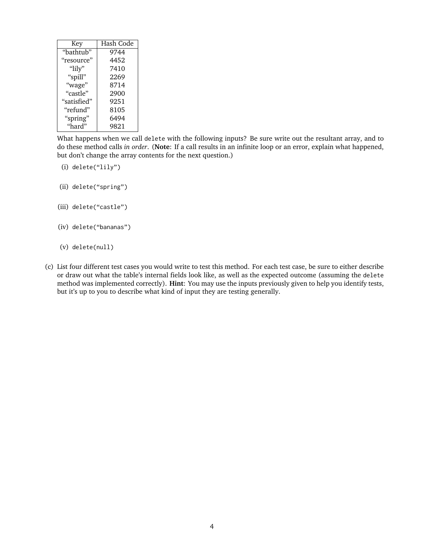| Key               | Hash Code |  |
|-------------------|-----------|--|
| "bathtub"         | 9744      |  |
| "resource"        | 4452      |  |
| " $\text{lily}$ " | 7410      |  |
| "spill"           | 2269      |  |
| "wage"            | 8714      |  |
| "castle"          | 2900      |  |
| "satisfied"       | 9251      |  |
| "refund"          | 8105      |  |
| "spring"          | 6494      |  |
| "hard"            | 9821      |  |

What happens when we call delete with the following inputs? Be sure write out the resultant array, and to do these method calls *in order*. (**Note**: If a call results in an infinite loop or an error, explain what happened, but don't change the array contents for the next question.)

- (i) delete("lily")
- (ii) delete("spring")
- (iii) delete("castle")
- (iv) delete("bananas")
- (v) delete(null)
- (c) List four different test cases you would write to test this method. For each test case, be sure to either describe or draw out what the table's internal fields look like, as well as the expected outcome (assuming the delete method was implemented correctly). **Hint**: You may use the inputs previously given to help you identify tests, but it's up to you to describe what kind of input they are testing generally.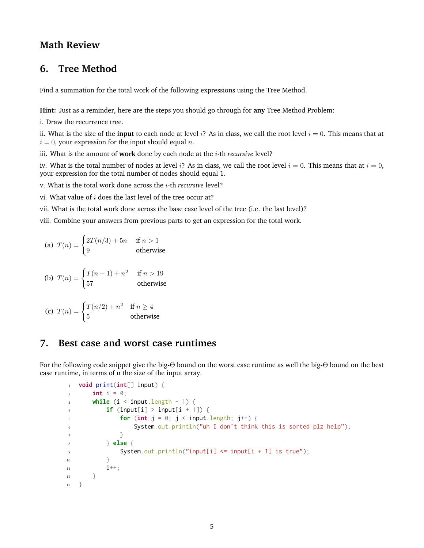#### **Math Review**

#### **6. Tree Method**

Find a summation for the total work of the following expressions using the Tree Method.

**Hint:** Just as a reminder, here are the steps you should go through for **any** Tree Method Problem:

i. Draw the recurrence tree.

ii. What is the size of the **input** to each node at level i? As in class, we call the root level  $i = 0$ . This means that at  $i = 0$ , your expression for the input should equal n.

iii. What is the amount of **work** done by each node at the i-th *recursive* level?

iv. What is the total number of nodes at level i? As in class, we call the root level  $i = 0$ . This means that at  $i = 0$ , your expression for the total number of nodes should equal 1.

v. What is the total work done across the i-th *recursive* level?

vi. What value of  $i$  does the last level of the tree occur at?

vii. What is the total work done across the base case level of the tree (i.e. the last level)?

viii. Combine your answers from previous parts to get an expression for the total work.

(a) 
$$
T(n) = \begin{cases} 2T(n/3) + 5n & \text{if } n > 1 \\ 9 & \text{otherwise} \end{cases}
$$

$$
\text{(b)}\ \ T(n) = \begin{cases} T(n-1) + n^2 & \text{if } n > 19\\ 57 & \text{otherwise} \end{cases}
$$

(c) 
$$
T(n) = \begin{cases} T(n/2) + n^2 & \text{if } n \ge 4\\ 5 & \text{otherwise} \end{cases}
$$

#### **7. Best case and worst case runtimes**

For the following code snippet give the big-Θ bound on the worst case runtime as well the big-Θ bound on the best case runtime, in terms of n the size of the input array.

```
1 void print(int[] input) {
\frac{1}{2} int i = 0;
_3 while (i < input.length - 1) {
4 if (input[i] > input[i + 1]) {
\mathbf{f} for (int \mathbf{j} = \emptyset; \mathbf{j} < \mathbf{i} nput. length; \mathbf{j}^{++}) {
6 System.out.println("uh I don't think this is sorted plz help");
7 }
8 } else {
9 System.out.println("input[i] <= input[i + 1] is true");
10 }
i^{++};
12 }
13 \quad \frac{1}{2}
```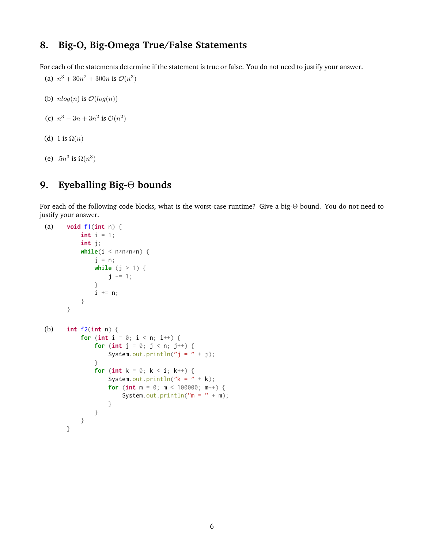## **8. Big-O, Big-Omega True/False Statements**

For each of the statements determine if the statement is true or false. You do not need to justify your answer.

(a)  $n^3 + 30n^2 + 300n$  is  $\mathcal{O}(n^3)$ 

(b)  $nlog(n)$  is  $\mathcal{O}(log(n))$ 

```
(c) n^3 - 3n + 3n^2 is \mathcal{O}(n^2)
```
- (d) 1 is  $\Omega(n)$
- (e)  $.5n^3$  is  $\Omega(n^3)$

# **9. Eyeballing Big-**Θ **bounds**

For each of the following code blocks, what is the worst-case runtime? Give a big-Θ bound. You do not need to justify your answer.

```
(a) void f1(int n) {
          int i = 1;int j;
          while(i < n * n * n * n) {
               j = n;while (j > 1) {
                   j -= 1;
               }
               i += n;
          }
      }
(b) int f2(int n) {
          for (int i = 0; i < n; i++) {
               for (int j = 0; j < n; j^{++}) {
                   System.out.println("j = " + j);}
               for (int k = 0; k < i; k^{++}) {
                   System.out.println("k = " + k);
                   for (int m = 0; m < 100000; m++) {
                       System.out.println(m = " + m);
                   }
              }
          }
      }
```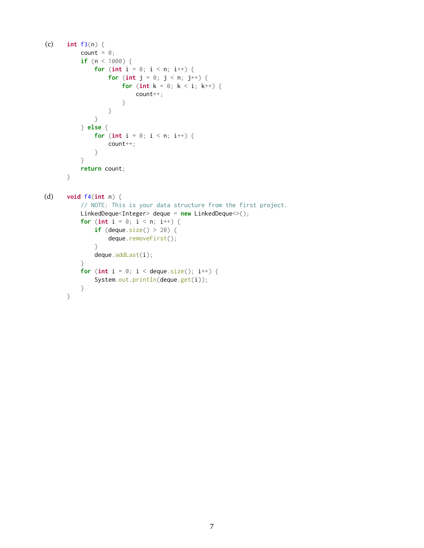```
(c) int f3(n) {
           count = 0;
           if (n < 1000) {
               for (int i = 0; i < n; i++) {
                   for (int j = 0; j < n; j^{++}) {
                       for (int k = 0; k < i; k++) {
                           count++;
                       }
                   }
               }
           } else {
              for (int i = 0; i < n; i^{++}) {
                   count++;
               }
           }
           return count;
      }
(d) void f4(int n) {
           // NOTE: This is your data structure from the first project.
           LinkedDeque<Integer> deque = new LinkedDeque<>();
           for (int i = 0; i < n; i^{++}) {
               if (deque.size() > 20) {
                   deque.removeFirst();
               }
               deque.addLast(i);
           }
           for (int i = 0; i < deque.size(); i^{++}) {
               System.out.println(deque.get(i));
           }
      }
```